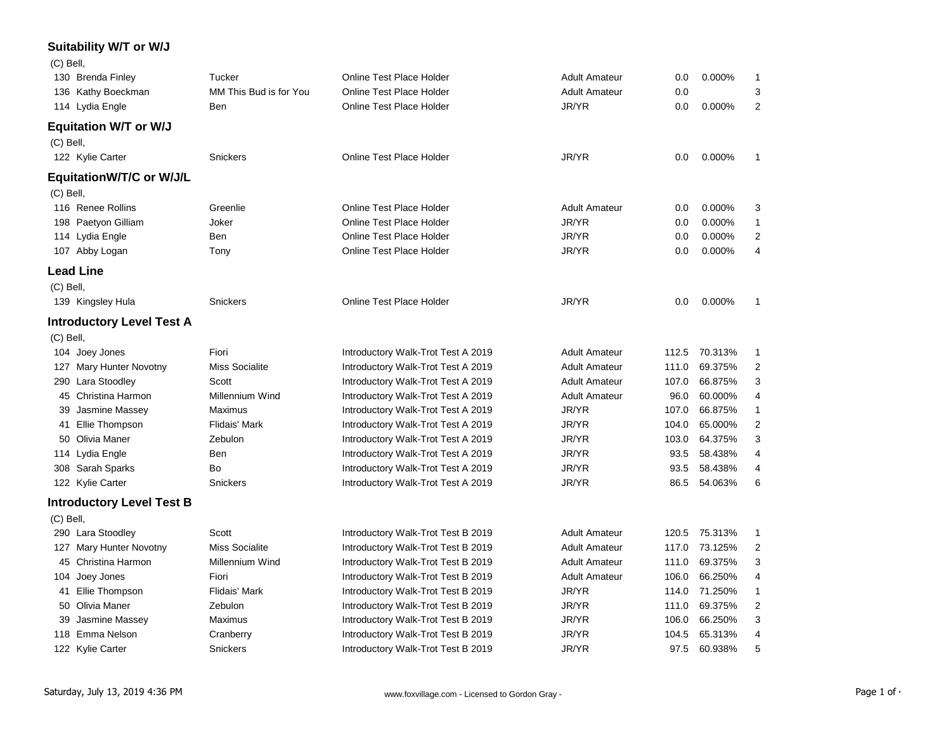## **Suitability W/T or W/J**

| (C) Bell,   |                                  |                        |                                    |                      |       |         |                |
|-------------|----------------------------------|------------------------|------------------------------------|----------------------|-------|---------|----------------|
|             | 130 Brenda Finley                | Tucker                 | <b>Online Test Place Holder</b>    | <b>Adult Amateur</b> | 0.0   | 0.000%  | 1              |
|             | 136 Kathy Boeckman               | MM This Bud is for You | <b>Online Test Place Holder</b>    | <b>Adult Amateur</b> | 0.0   |         | 3              |
|             | 114 Lydia Engle                  | Ben                    | <b>Online Test Place Holder</b>    | JR/YR                | 0.0   | 0.000%  | $\overline{2}$ |
|             | <b>Equitation W/T or W/J</b>     |                        |                                    |                      |       |         |                |
| $(C)$ Bell, |                                  |                        |                                    |                      |       |         |                |
|             | 122 Kylie Carter                 | Snickers               | Online Test Place Holder           | JR/YR                | 0.0   | 0.000%  | 1              |
|             | EquitationW/T/C or W/J/L         |                        |                                    |                      |       |         |                |
| (C) Bell,   |                                  |                        |                                    |                      |       |         |                |
|             | 116 Renee Rollins                | Greenlie               | Online Test Place Holder           | <b>Adult Amateur</b> | 0.0   | 0.000%  | 3              |
|             | 198 Paetyon Gilliam              | Joker                  | <b>Online Test Place Holder</b>    | JR/YR                | 0.0   | 0.000%  | 1              |
|             | 114 Lydia Engle                  | Ben                    | Online Test Place Holder           | JR/YR                | 0.0   | 0.000%  | $\overline{c}$ |
|             | 107 Abby Logan                   | Tony                   | Online Test Place Holder           | JR/YR                | 0.0   | 0.000%  | 4              |
|             | <b>Lead Line</b>                 |                        |                                    |                      |       |         |                |
| $(C)$ Bell, |                                  |                        |                                    |                      |       |         |                |
|             | 139 Kingsley Hula                | Snickers               | Online Test Place Holder           | JR/YR                | 0.0   | 0.000%  | 1              |
|             | <b>Introductory Level Test A</b> |                        |                                    |                      |       |         |                |
| (C) Bell,   |                                  |                        |                                    |                      |       |         |                |
|             | 104 Joey Jones                   | Fiori                  | Introductory Walk-Trot Test A 2019 | <b>Adult Amateur</b> | 112.5 | 70.313% | 1              |
|             | 127 Mary Hunter Novotny          | <b>Miss Socialite</b>  | Introductory Walk-Trot Test A 2019 | <b>Adult Amateur</b> | 111.0 | 69.375% | 2              |
|             | 290 Lara Stoodley                | Scott                  | Introductory Walk-Trot Test A 2019 | <b>Adult Amateur</b> | 107.0 | 66.875% | 3              |
| 45          | Christina Harmon                 | Millennium Wind        | Introductory Walk-Trot Test A 2019 | <b>Adult Amateur</b> | 96.0  | 60.000% | 4              |
| 39          | Jasmine Massey                   | Maximus                | Introductory Walk-Trot Test A 2019 | JR/YR                | 107.0 | 66.875% | $\mathbf{1}$   |
|             | 41 Ellie Thompson                | Flidais' Mark          | Introductory Walk-Trot Test A 2019 | JR/YR                | 104.0 | 65.000% | $\overline{2}$ |
|             | 50 Olivia Maner                  | Zebulon                | Introductory Walk-Trot Test A 2019 | JR/YR                | 103.0 | 64.375% | 3              |
|             | 114 Lydia Engle                  | Ben                    | Introductory Walk-Trot Test A 2019 | JR/YR                | 93.5  | 58.438% | 4              |
|             | 308 Sarah Sparks                 | Bo                     | Introductory Walk-Trot Test A 2019 | JR/YR                | 93.5  | 58.438% | 4              |
|             | 122 Kylie Carter                 | Snickers               | Introductory Walk-Trot Test A 2019 | JR/YR                | 86.5  | 54.063% | 6              |
|             | <b>Introductory Level Test B</b> |                        |                                    |                      |       |         |                |
| $(C)$ Bell, |                                  |                        |                                    |                      |       |         |                |
|             | 290 Lara Stoodley                | Scott                  | Introductory Walk-Trot Test B 2019 | <b>Adult Amateur</b> | 120.5 | 75.313% | 1              |
|             | 127 Mary Hunter Novotny          | <b>Miss Socialite</b>  | Introductory Walk-Trot Test B 2019 | <b>Adult Amateur</b> | 117.0 | 73.125% | $\overline{2}$ |
| 45          | Christina Harmon                 | Millennium Wind        | Introductory Walk-Trot Test B 2019 | <b>Adult Amateur</b> | 111.0 | 69.375% | 3              |
| 104         | Joey Jones                       | Fiori                  | Introductory Walk-Trot Test B 2019 | <b>Adult Amateur</b> | 106.0 | 66.250% | 4              |
| 41          | Ellie Thompson                   | Flidais' Mark          | Introductory Walk-Trot Test B 2019 | JR/YR                | 114.0 | 71.250% | 1              |
| 50          | Olivia Maner                     | Zebulon                | Introductory Walk-Trot Test B 2019 | JR/YR                | 111.0 | 69.375% | 2              |
| 39          | Jasmine Massey                   | Maximus                | Introductory Walk-Trot Test B 2019 | JR/YR                | 106.0 | 66.250% | 3              |
| 118         | Emma Nelson                      | Cranberry              | Introductory Walk-Trot Test B 2019 | JR/YR                | 104.5 | 65.313% | $\overline{4}$ |
|             | 122 Kylie Carter                 | Snickers               | Introductory Walk-Trot Test B 2019 | JR/YR                | 97.5  | 60.938% | 5              |
|             |                                  |                        |                                    |                      |       |         |                |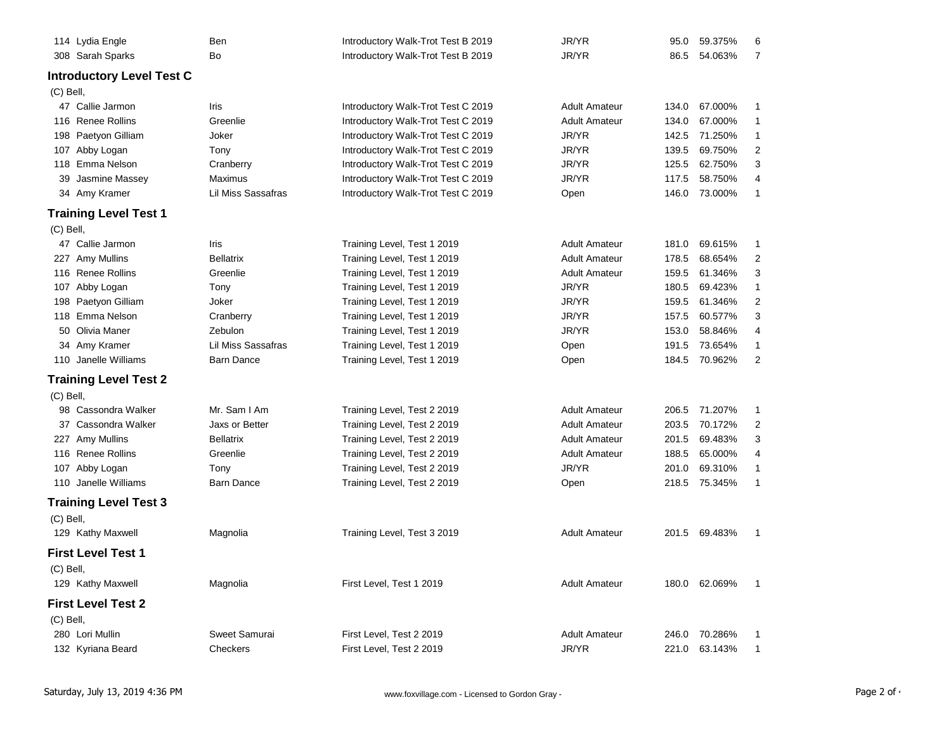|             | 114 Lydia Engle                  | Ben                | Introductory Walk-Trot Test B 2019 | JR/YR                | 95.0  | 59.375% | 6              |
|-------------|----------------------------------|--------------------|------------------------------------|----------------------|-------|---------|----------------|
|             | 308 Sarah Sparks                 | Bo                 | Introductory Walk-Trot Test B 2019 | JR/YR                | 86.5  | 54.063% | 7              |
|             | <b>Introductory Level Test C</b> |                    |                                    |                      |       |         |                |
| $(C)$ Bell, |                                  |                    |                                    |                      |       |         |                |
|             | 47 Callie Jarmon                 | Iris               | Introductory Walk-Trot Test C 2019 | <b>Adult Amateur</b> | 134.0 | 67.000% | 1              |
|             | 116 Renee Rollins                | Greenlie           | Introductory Walk-Trot Test C 2019 | <b>Adult Amateur</b> | 134.0 | 67.000% | 1              |
|             | 198 Paetyon Gilliam              | Joker              | Introductory Walk-Trot Test C 2019 | JR/YR                | 142.5 | 71.250% | 1              |
|             | 107 Abby Logan                   | Tony               | Introductory Walk-Trot Test C 2019 | JR/YR                | 139.5 | 69.750% | $\overline{2}$ |
|             | 118 Emma Nelson                  | Cranberry          | Introductory Walk-Trot Test C 2019 | JR/YR                | 125.5 | 62.750% | 3              |
| 39          | Jasmine Massey                   | Maximus            | Introductory Walk-Trot Test C 2019 | JR/YR                | 117.5 | 58.750% | 4              |
|             | 34 Amy Kramer                    | Lil Miss Sassafras | Introductory Walk-Trot Test C 2019 | Open                 | 146.0 | 73.000% | $\mathbf{1}$   |
|             | <b>Training Level Test 1</b>     |                    |                                    |                      |       |         |                |
| $(C)$ Bell, |                                  |                    |                                    |                      |       |         |                |
|             | 47 Callie Jarmon                 | Iris               | Training Level, Test 1 2019        | <b>Adult Amateur</b> | 181.0 | 69.615% | 1              |
|             | 227 Amy Mullins                  | <b>Bellatrix</b>   | Training Level, Test 1 2019        | <b>Adult Amateur</b> | 178.5 | 68.654% | $\overline{2}$ |
|             | 116 Renee Rollins                | Greenlie           | Training Level, Test 1 2019        | <b>Adult Amateur</b> | 159.5 | 61.346% | 3              |
|             | 107 Abby Logan                   | Tony               | Training Level, Test 1 2019        | JR/YR                | 180.5 | 69.423% | $\mathbf{1}$   |
|             | 198 Paetyon Gilliam              | Joker              | Training Level, Test 1 2019        | JR/YR                | 159.5 | 61.346% | $\overline{2}$ |
|             | 118 Emma Nelson                  | Cranberry          | Training Level, Test 1 2019        | JR/YR                | 157.5 | 60.577% | 3              |
|             | 50 Olivia Maner                  | Zebulon            | Training Level, Test 1 2019        | JR/YR                | 153.0 | 58.846% | 4              |
|             | 34 Amy Kramer                    | Lil Miss Sassafras | Training Level, Test 1 2019        | Open                 | 191.5 | 73.654% | 1              |
|             | 110 Janelle Williams             | <b>Barn Dance</b>  | Training Level, Test 1 2019        | Open                 | 184.5 | 70.962% | $\overline{2}$ |
|             | <b>Training Level Test 2</b>     |                    |                                    |                      |       |         |                |
| $(C)$ Bell, |                                  |                    |                                    |                      |       |         |                |
|             | 98 Cassondra Walker              | Mr. Sam I Am       | Training Level, Test 2 2019        | <b>Adult Amateur</b> | 206.5 | 71.207% | 1              |
|             | 37 Cassondra Walker              | Jaxs or Better     | Training Level, Test 2 2019        | <b>Adult Amateur</b> | 203.5 | 70.172% | 2              |
|             | 227 Amy Mullins                  | <b>Bellatrix</b>   | Training Level, Test 2 2019        | <b>Adult Amateur</b> | 201.5 | 69.483% | 3              |
|             | 116 Renee Rollins                | Greenlie           | Training Level, Test 2 2019        | <b>Adult Amateur</b> | 188.5 | 65.000% | 4              |
|             | 107 Abby Logan                   | Tony               | Training Level, Test 2 2019        | JR/YR                | 201.0 | 69.310% | 1              |
|             | 110 Janelle Williams             | <b>Barn Dance</b>  | Training Level, Test 2 2019        | Open                 | 218.5 | 75.345% | $\mathbf{1}$   |
|             | <b>Training Level Test 3</b>     |                    |                                    |                      |       |         |                |
| (C) Bell,   |                                  |                    |                                    |                      |       |         |                |
|             | 129 Kathy Maxwell                | Magnolia           | Training Level, Test 3 2019        | <b>Adult Amateur</b> | 201.5 | 69.483% | 1              |
|             | <b>First Level Test 1</b>        |                    |                                    |                      |       |         |                |
| (C) Bell,   |                                  |                    |                                    |                      |       |         |                |
|             | 129 Kathy Maxwell                | Magnolia           | First Level, Test 1 2019           | <b>Adult Amateur</b> | 180.0 | 62.069% | 1              |
|             | <b>First Level Test 2</b>        |                    |                                    |                      |       |         |                |
| (C) Bell,   |                                  |                    |                                    |                      |       |         |                |
|             | 280 Lori Mullin                  | Sweet Samurai      | First Level, Test 2 2019           | <b>Adult Amateur</b> | 246.0 | 70.286% | 1              |
|             | 132 Kyriana Beard                | Checkers           | First Level, Test 2 2019           | JR/YR                | 221.0 | 63.143% | 1              |
|             |                                  |                    |                                    |                      |       |         |                |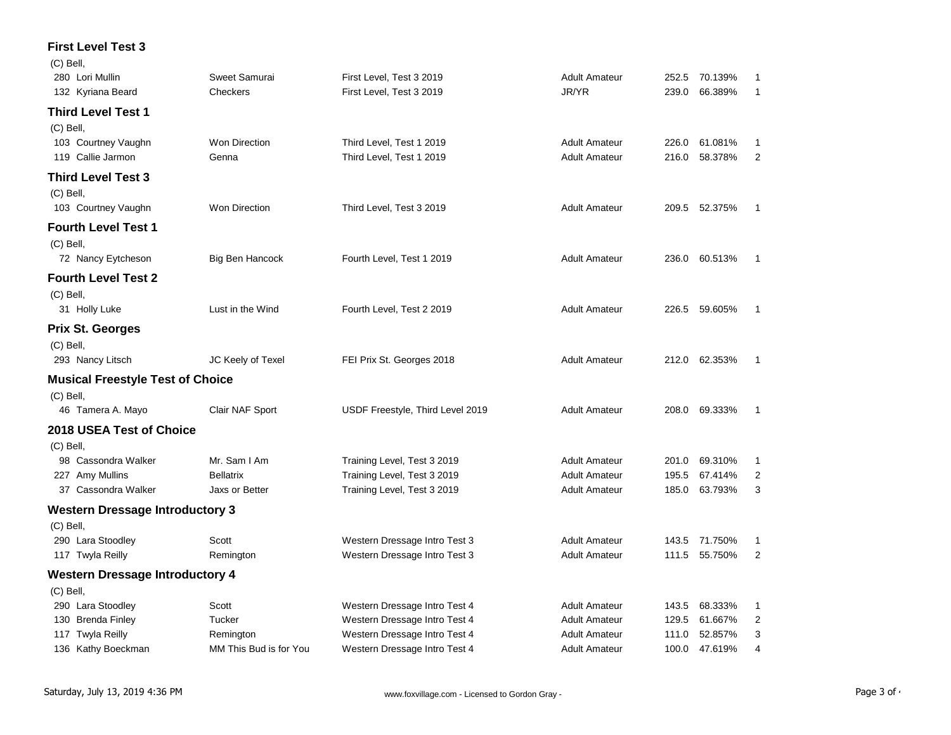## **First Level Test 3**  $(2)$  Bell

| (C) Bell,<br>280 Lori Mullin            | Sweet Samurai          | First Level, Test 3 2019         | <b>Adult Amateur</b> | 252.5 | 70.139%       | 1              |
|-----------------------------------------|------------------------|----------------------------------|----------------------|-------|---------------|----------------|
| 132 Kyriana Beard                       | Checkers               | First Level, Test 3 2019         | JR/YR                | 239.0 | 66.389%       | 1              |
| Third Level Test 1                      |                        |                                  |                      |       |               |                |
| (C) Bell,                               |                        |                                  |                      |       |               |                |
| 103 Courtney Vaughn                     | <b>Won Direction</b>   | Third Level, Test 1 2019         | <b>Adult Amateur</b> | 226.0 | 61.081%       | 1              |
| 119 Callie Jarmon                       | Genna                  | Third Level, Test 1 2019         | <b>Adult Amateur</b> | 216.0 | 58.378%       | $\overline{c}$ |
| <b>Third Level Test 3</b>               |                        |                                  |                      |       |               |                |
| $(C)$ Bell,                             |                        |                                  |                      |       |               |                |
| 103 Courtney Vaughn                     | <b>Won Direction</b>   | Third Level, Test 3 2019         | <b>Adult Amateur</b> |       | 209.5 52.375% | 1              |
| <b>Fourth Level Test 1</b>              |                        |                                  |                      |       |               |                |
| $(C)$ Bell,                             |                        |                                  |                      |       |               |                |
| 72 Nancy Eytcheson                      | Big Ben Hancock        | Fourth Level, Test 1 2019        | <b>Adult Amateur</b> | 236.0 | 60.513%       | -1             |
| <b>Fourth Level Test 2</b>              |                        |                                  |                      |       |               |                |
| $(C)$ Bell,                             |                        |                                  |                      |       |               |                |
| 31 Holly Luke                           | Lust in the Wind       | Fourth Level, Test 2 2019        | <b>Adult Amateur</b> |       | 226.5 59.605% | 1              |
| <b>Prix St. Georges</b>                 |                        |                                  |                      |       |               |                |
| (C) Bell,                               |                        |                                  |                      |       |               |                |
| 293 Nancy Litsch                        | JC Keely of Texel      | FEI Prix St. Georges 2018        | <b>Adult Amateur</b> | 212.0 | 62.353%       | 1              |
| <b>Musical Freestyle Test of Choice</b> |                        |                                  |                      |       |               |                |
| (C) Bell,                               |                        |                                  |                      |       |               |                |
| 46 Tamera A. Mayo                       | Clair NAF Sport        | USDF Freestyle, Third Level 2019 | <b>Adult Amateur</b> | 208.0 | 69.333%       | 1              |
| 2018 USEA Test of Choice                |                        |                                  |                      |       |               |                |
| $(C)$ Bell,                             |                        |                                  |                      |       |               |                |
| 98 Cassondra Walker                     | Mr. Sam I Am           | Training Level, Test 3 2019      | <b>Adult Amateur</b> | 201.0 | 69.310%       | 1              |
| 227 Amy Mullins                         | <b>Bellatrix</b>       | Training Level, Test 3 2019      | <b>Adult Amateur</b> | 195.5 | 67.414%       | 2              |
| 37 Cassondra Walker                     | Jaxs or Better         | Training Level, Test 3 2019      | <b>Adult Amateur</b> | 185.0 | 63.793%       | 3              |
| <b>Western Dressage Introductory 3</b>  |                        |                                  |                      |       |               |                |
| $(C)$ Bell,                             |                        |                                  |                      |       |               |                |
| 290 Lara Stoodley                       | Scott                  | Western Dressage Intro Test 3    | <b>Adult Amateur</b> |       | 143.5 71.750% | 1              |
| 117 Twyla Reilly                        | Remington              | Western Dressage Intro Test 3    | <b>Adult Amateur</b> | 111.5 | 55.750%       | $\overline{2}$ |
| <b>Western Dressage Introductory 4</b>  |                        |                                  |                      |       |               |                |
| $(C)$ Bell,                             |                        |                                  |                      |       |               |                |
| 290 Lara Stoodley                       | Scott                  | Western Dressage Intro Test 4    | <b>Adult Amateur</b> | 143.5 | 68.333%       | 1              |
| 130 Brenda Finley                       | Tucker                 | Western Dressage Intro Test 4    | <b>Adult Amateur</b> | 129.5 | 61.667%       | 2              |
| 117 Twyla Reilly                        | Remington              | Western Dressage Intro Test 4    | <b>Adult Amateur</b> | 111.0 | 52.857%       | 3              |
| 136 Kathy Boeckman                      | MM This Bud is for You | Western Dressage Intro Test 4    | <b>Adult Amateur</b> | 100.0 | 47.619%       | 4              |